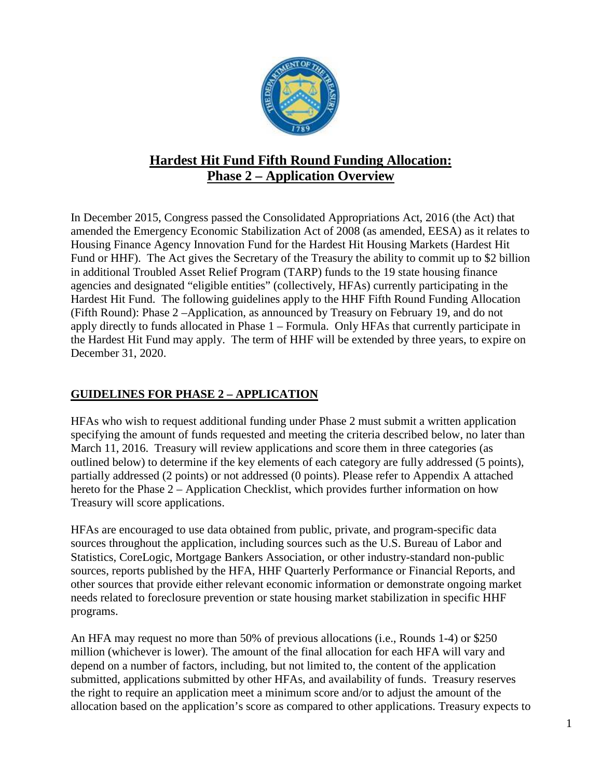

# **Hardest Hit Fund Fifth Round Funding Allocation: Phase 2 – Application Overview**

In December 2015, Congress passed the Consolidated Appropriations Act, 2016 (the Act) that amended the Emergency Economic Stabilization Act of 2008 (as amended, EESA) as it relates to Housing Finance Agency Innovation Fund for the Hardest Hit Housing Markets (Hardest Hit Fund or HHF). The Act gives the Secretary of the Treasury the ability to commit up to \$2 billion in additional Troubled Asset Relief Program (TARP) funds to the 19 state housing finance agencies and designated "eligible entities" (collectively, HFAs) currently participating in the Hardest Hit Fund. The following guidelines apply to the HHF Fifth Round Funding Allocation (Fifth Round): Phase 2 –Application, as announced by Treasury on February 19, and do not apply directly to funds allocated in Phase 1 – Formula. Only HFAs that currently participate in the Hardest Hit Fund may apply. The term of HHF will be extended by three years, to expire on December 31, 2020.

## **GUIDELINES FOR PHASE 2 – APPLICATION**

HFAs who wish to request additional funding under Phase 2 must submit a written application specifying the amount of funds requested and meeting the criteria described below, no later than March 11, 2016. Treasury will review applications and score them in three categories (as outlined below) to determine if the key elements of each category are fully addressed (5 points), partially addressed (2 points) or not addressed (0 points). Please refer to Appendix A attached hereto for the Phase 2 – Application Checklist, which provides further information on how Treasury will score applications.

HFAs are encouraged to use data obtained from public, private, and program-specific data sources throughout the application, including sources such as the U.S. Bureau of Labor and Statistics, CoreLogic, Mortgage Bankers Association, or other industry-standard non-public sources, reports published by the HFA, HHF Quarterly Performance or Financial Reports, and other sources that provide either relevant economic information or demonstrate ongoing market needs related to foreclosure prevention or state housing market stabilization in specific HHF programs.

An HFA may request no more than 50% of previous allocations (i.e., Rounds 1-4) or \$250 million (whichever is lower). The amount of the final allocation for each HFA will vary and depend on a number of factors, including, but not limited to, the content of the application submitted, applications submitted by other HFAs, and availability of funds. Treasury reserves the right to require an application meet a minimum score and/or to adjust the amount of the allocation based on the application's score as compared to other applications. Treasury expects to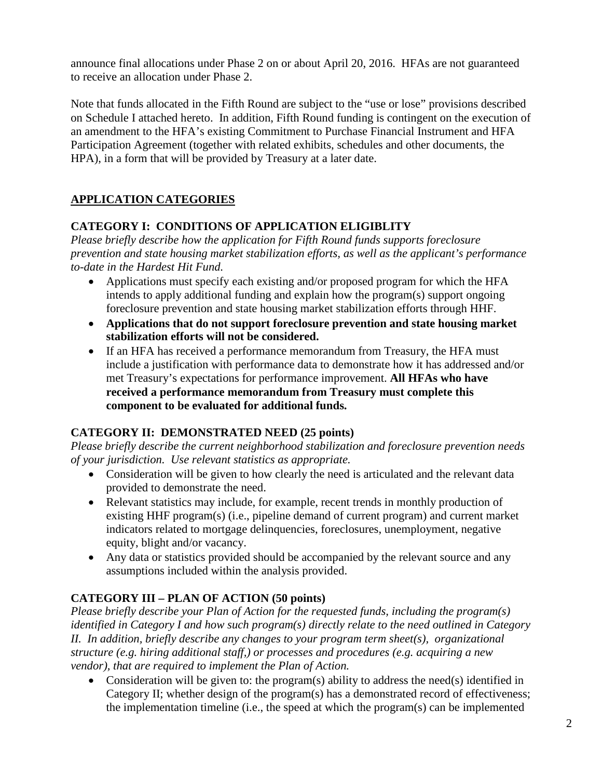announce final allocations under Phase 2 on or about April 20, 2016. HFAs are not guaranteed to receive an allocation under Phase 2.

Note that funds allocated in the Fifth Round are subject to the "use or lose" provisions described on Schedule I attached hereto. In addition, Fifth Round funding is contingent on the execution of an amendment to the HFA's existing Commitment to Purchase Financial Instrument and HFA Participation Agreement (together with related exhibits, schedules and other documents, the HPA), in a form that will be provided by Treasury at a later date.

# **APPLICATION CATEGORIES**

## **CATEGORY I: CONDITIONS OF APPLICATION ELIGIBLITY**

*Please briefly describe how the application for Fifth Round funds supports foreclosure prevention and state housing market stabilization efforts, as well as the applicant's performance to-date in the Hardest Hit Fund.*

- Applications must specify each existing and/or proposed program for which the HFA intends to apply additional funding and explain how the program(s) support ongoing foreclosure prevention and state housing market stabilization efforts through HHF.
- **Applications that do not support foreclosure prevention and state housing market stabilization efforts will not be considered.**
- If an HFA has received a performance memorandum from Treasury, the HFA must include a justification with performance data to demonstrate how it has addressed and/or met Treasury's expectations for performance improvement. **All HFAs who have received a performance memorandum from Treasury must complete this component to be evaluated for additional funds.**

## **CATEGORY II: DEMONSTRATED NEED (25 points)**

*Please briefly describe the current neighborhood stabilization and foreclosure prevention needs of your jurisdiction. Use relevant statistics as appropriate.* 

- Consideration will be given to how clearly the need is articulated and the relevant data provided to demonstrate the need.
- Relevant statistics may include, for example, recent trends in monthly production of existing HHF program(s) (i.e., pipeline demand of current program) and current market indicators related to mortgage delinquencies, foreclosures, unemployment, negative equity, blight and/or vacancy.
- Any data or statistics provided should be accompanied by the relevant source and any assumptions included within the analysis provided.

# **CATEGORY III – PLAN OF ACTION (50 points)**

*Please briefly describe your Plan of Action for the requested funds, including the program(s) identified in Category I and how such program(s) directly relate to the need outlined in Category II. In addition, briefly describe any changes to your program term sheet(s), organizational structure (e.g. hiring additional staff,) or processes and procedures (e.g. acquiring a new vendor), that are required to implement the Plan of Action.* 

• Consideration will be given to: the program(s) ability to address the need(s) identified in Category II; whether design of the program(s) has a demonstrated record of effectiveness; the implementation timeline (i.e., the speed at which the program(s) can be implemented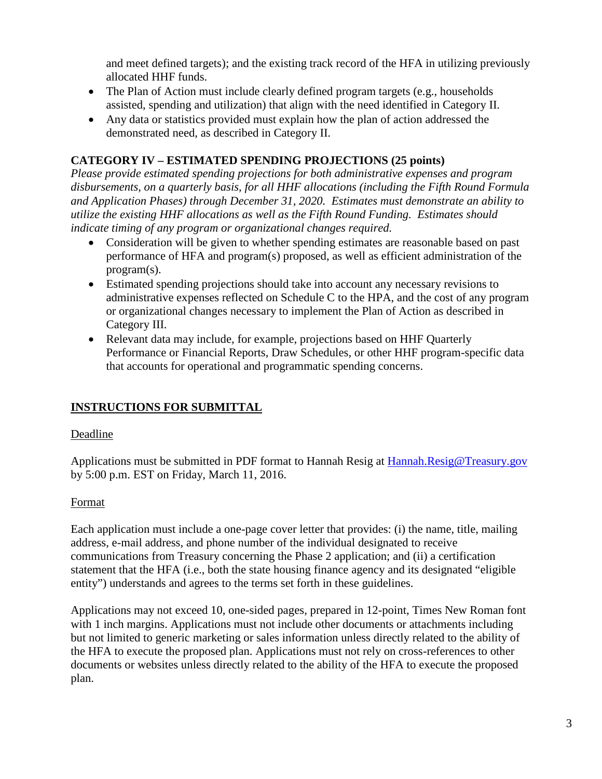and meet defined targets); and the existing track record of the HFA in utilizing previously allocated HHF funds.

- The Plan of Action must include clearly defined program targets (e.g., households assisted, spending and utilization) that align with the need identified in Category II.
- Any data or statistics provided must explain how the plan of action addressed the demonstrated need, as described in Category II.

### **CATEGORY IV – ESTIMATED SPENDING PROJECTIONS (25 points)**

*Please provide estimated spending projections for both administrative expenses and program disbursements, on a quarterly basis, for all HHF allocations (including the Fifth Round Formula and Application Phases) through December 31, 2020. Estimates must demonstrate an ability to utilize the existing HHF allocations as well as the Fifth Round Funding. Estimates should indicate timing of any program or organizational changes required.* 

- Consideration will be given to whether spending estimates are reasonable based on past performance of HFA and program(s) proposed, as well as efficient administration of the program(s).
- Estimated spending projections should take into account any necessary revisions to administrative expenses reflected on Schedule C to the HPA, and the cost of any program or organizational changes necessary to implement the Plan of Action as described in Category III.
- Relevant data may include, for example, projections based on HHF Quarterly Performance or Financial Reports, Draw Schedules, or other HHF program-specific data that accounts for operational and programmatic spending concerns.

## **INSTRUCTIONS FOR SUBMITTAL**

#### Deadline

Applications must be submitted in PDF format to Hannah Resig at [Hannah.Resig@Treasury.gov](mailto:Hannah.Resig@Treasury.gov) by 5:00 p.m. EST on Friday, March 11, 2016.

#### Format

Each application must include a one-page cover letter that provides: (i) the name, title, mailing address, e-mail address, and phone number of the individual designated to receive communications from Treasury concerning the Phase 2 application; and (ii) a certification statement that the HFA (i.e., both the state housing finance agency and its designated "eligible entity") understands and agrees to the terms set forth in these guidelines.

Applications may not exceed 10, one-sided pages, prepared in 12-point, Times New Roman font with 1 inch margins. Applications must not include other documents or attachments including but not limited to generic marketing or sales information unless directly related to the ability of the HFA to execute the proposed plan. Applications must not rely on cross-references to other documents or websites unless directly related to the ability of the HFA to execute the proposed plan.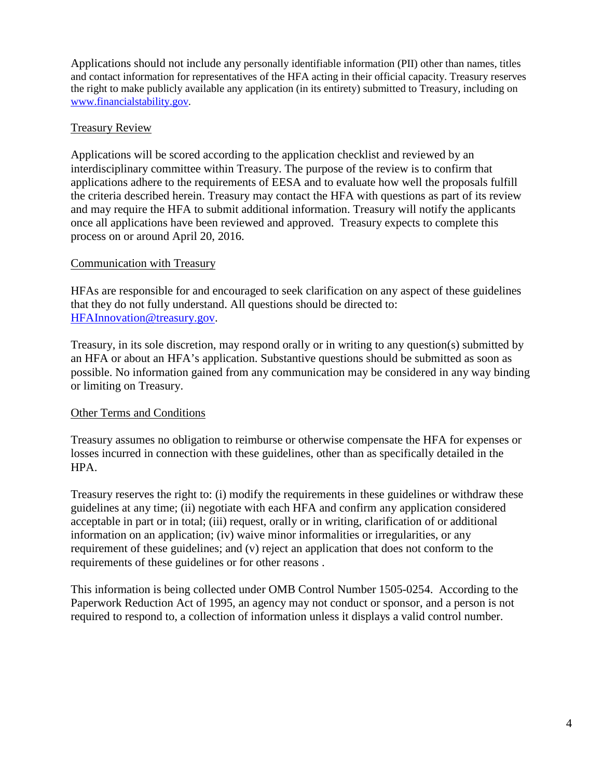Applications should not include any personally identifiable information (PII) other than names, titles and contact information for representatives of the HFA acting in their official capacity. Treasury reserves the right to make publicly available any application (in its entirety) submitted to Treasury, including on [www.financialstability.gov.](http://www.financialstability.gov/)

#### Treasury Review

Applications will be scored according to the application checklist and reviewed by an interdisciplinary committee within Treasury. The purpose of the review is to confirm that applications adhere to the requirements of EESA and to evaluate how well the proposals fulfill the criteria described herein. Treasury may contact the HFA with questions as part of its review and may require the HFA to submit additional information. Treasury will notify the applicants once all applications have been reviewed and approved. Treasury expects to complete this process on or around April 20, 2016.

#### Communication with Treasury

HFAs are responsible for and encouraged to seek clarification on any aspect of these guidelines that they do not fully understand. All questions should be directed to: [HFAInnovation@treasury.gov.](mailto:HFAInnovation@treasury.gov)

Treasury, in its sole discretion, may respond orally or in writing to any question(s) submitted by an HFA or about an HFA's application. Substantive questions should be submitted as soon as possible. No information gained from any communication may be considered in any way binding or limiting on Treasury.

#### Other Terms and Conditions

Treasury assumes no obligation to reimburse or otherwise compensate the HFA for expenses or losses incurred in connection with these guidelines, other than as specifically detailed in the HPA.

Treasury reserves the right to: (i) modify the requirements in these guidelines or withdraw these guidelines at any time; (ii) negotiate with each HFA and confirm any application considered acceptable in part or in total; (iii) request, orally or in writing, clarification of or additional information on an application; (iv) waive minor informalities or irregularities, or any requirement of these guidelines; and (v) reject an application that does not conform to the requirements of these guidelines or for other reasons .

This information is being collected under OMB Control Number 1505-0254. According to the Paperwork Reduction Act of 1995, an agency may not conduct or sponsor, and a person is not required to respond to, a collection of information unless it displays a valid control number.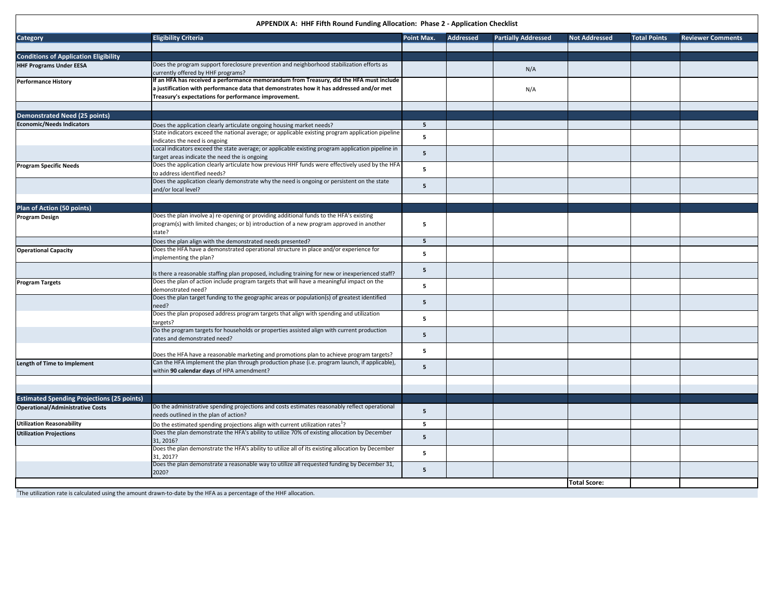**APPENDIX A: HHF Fifth Round Funding Allocation: Phase 2 - Application Checklist**

| <b>Category</b>                                   | <b>Eligibility Criteria</b>                                                                                                                                                                | Point Max.     | <b>Addressed</b> | <b>Partially Addressed</b> | <b>Not Addressed</b> | <b>Total Points</b> | <b>Reviewer Comments</b> |
|---------------------------------------------------|--------------------------------------------------------------------------------------------------------------------------------------------------------------------------------------------|----------------|------------------|----------------------------|----------------------|---------------------|--------------------------|
|                                                   |                                                                                                                                                                                            |                |                  |                            |                      |                     |                          |
| <b>Conditions of Application Eligibility</b>      |                                                                                                                                                                                            |                |                  |                            |                      |                     |                          |
| <b>HHF Programs Under EESA</b>                    | Does the program support foreclosure prevention and neighborhood stabilization efforts as                                                                                                  |                |                  |                            |                      |                     |                          |
|                                                   | currently offered by HHF programs?                                                                                                                                                         |                |                  | N/A                        |                      |                     |                          |
| <b>Performance History</b>                        | If an HFA has received a performance memorandum from Treasury, did the HFA must include                                                                                                    |                |                  |                            |                      |                     |                          |
|                                                   | a justification with performance data that demonstrates how it has addressed and/or met                                                                                                    |                |                  | N/A                        |                      |                     |                          |
|                                                   | Treasury's expectations for performance improvement.                                                                                                                                       |                |                  |                            |                      |                     |                          |
|                                                   |                                                                                                                                                                                            |                |                  |                            |                      |                     |                          |
|                                                   |                                                                                                                                                                                            |                |                  |                            |                      |                     |                          |
| <b>Demonstrated Need (25 points)</b>              |                                                                                                                                                                                            |                |                  |                            |                      |                     |                          |
| <b>Economic/Needs Indicators</b>                  | Does the application clearly articulate ongoing housing market needs?                                                                                                                      | 5 <sup>1</sup> |                  |                            |                      |                     |                          |
|                                                   | State indicators exceed the national average; or applicable existing program application pipeline                                                                                          | 5              |                  |                            |                      |                     |                          |
|                                                   | indicates the need is ongoing                                                                                                                                                              |                |                  |                            |                      |                     |                          |
|                                                   | Local indicators exceed the state average; or applicable existing program application pipeline in                                                                                          | 5              |                  |                            |                      |                     |                          |
|                                                   | target areas indicate the need the is ongoing                                                                                                                                              |                |                  |                            |                      |                     |                          |
| <b>Program Specific Needs</b>                     | Does the application clearly articulate how previous HHF funds were effectively used by the HFA                                                                                            | 5              |                  |                            |                      |                     |                          |
|                                                   | to address identified needs?                                                                                                                                                               |                |                  |                            |                      |                     |                          |
|                                                   | Does the application clearly demonstrate why the need is ongoing or persistent on the state                                                                                                | 5              |                  |                            |                      |                     |                          |
|                                                   | and/or local level?                                                                                                                                                                        |                |                  |                            |                      |                     |                          |
|                                                   |                                                                                                                                                                                            |                |                  |                            |                      |                     |                          |
| <b>Plan of Action (50 points)</b>                 |                                                                                                                                                                                            |                |                  |                            |                      |                     |                          |
| Program Design                                    | Does the plan involve a) re-opening or providing additional funds to the HFA's existing                                                                                                    |                |                  |                            |                      |                     |                          |
|                                                   | program(s) with limited changes; or b) introduction of a new program approved in another                                                                                                   | 5              |                  |                            |                      |                     |                          |
|                                                   | state?                                                                                                                                                                                     |                |                  |                            |                      |                     |                          |
|                                                   | Does the plan align with the demonstrated needs presented?                                                                                                                                 | 5              |                  |                            |                      |                     |                          |
| <b>Operational Capacity</b>                       | Does the HFA have a demonstrated operational structure in place and/or experience for                                                                                                      |                |                  |                            |                      |                     |                          |
|                                                   | implementing the plan?                                                                                                                                                                     | 5              |                  |                            |                      |                     |                          |
|                                                   |                                                                                                                                                                                            |                |                  |                            |                      |                     |                          |
|                                                   | Is there a reasonable staffing plan proposed, including training for new or inexperienced staff?                                                                                           | 5              |                  |                            |                      |                     |                          |
| Program Targets                                   | Does the plan of action include program targets that will have a meaningful impact on the                                                                                                  |                |                  |                            |                      |                     |                          |
|                                                   | demonstrated need?                                                                                                                                                                         | 5              |                  |                            |                      |                     |                          |
|                                                   | Does the plan target funding to the geographic areas or population(s) of greatest identified                                                                                               |                |                  |                            |                      |                     |                          |
|                                                   | need?                                                                                                                                                                                      | 5              |                  |                            |                      |                     |                          |
|                                                   | Does the plan proposed address program targets that align with spending and utilization                                                                                                    |                |                  |                            |                      |                     |                          |
|                                                   | targets?                                                                                                                                                                                   | 5              |                  |                            |                      |                     |                          |
|                                                   | Do the program targets for households or properties assisted align with current production                                                                                                 |                |                  |                            |                      |                     |                          |
|                                                   | rates and demonstrated need?                                                                                                                                                               | 5              |                  |                            |                      |                     |                          |
|                                                   |                                                                                                                                                                                            |                |                  |                            |                      |                     |                          |
|                                                   | Does the HFA have a reasonable marketing and promotions plan to achieve program targets?                                                                                                   | 5              |                  |                            |                      |                     |                          |
| <b>Length of Time to Implement</b>                | Can the HFA implement the plan through production phase (i.e. program launch, if applicable),                                                                                              |                |                  |                            |                      |                     |                          |
|                                                   | within 90 calendar days of HPA amendment?                                                                                                                                                  | 5              |                  |                            |                      |                     |                          |
|                                                   |                                                                                                                                                                                            |                |                  |                            |                      |                     |                          |
|                                                   |                                                                                                                                                                                            |                |                  |                            |                      |                     |                          |
| <b>Estimated Spending Projections (25 points)</b> |                                                                                                                                                                                            |                |                  |                            |                      |                     |                          |
| <b>Operational/Administrative Costs</b>           | Do the administrative spending projections and costs estimates reasonably reflect operational                                                                                              |                |                  |                            |                      |                     |                          |
|                                                   | needs outlined in the plan of action?                                                                                                                                                      | 5              |                  |                            |                      |                     |                          |
| <b>Utilization Reasonability</b>                  |                                                                                                                                                                                            | 5              |                  |                            |                      |                     |                          |
|                                                   | Do the estimated spending projections align with current utilization rates <sup>1</sup> ?<br>Does the plan demonstrate the HFA's ability to utilize 70% of existing allocation by December |                |                  |                            |                      |                     |                          |
| <b>Utilization Projections</b>                    |                                                                                                                                                                                            | 5              |                  |                            |                      |                     |                          |
|                                                   | 31, 2016?                                                                                                                                                                                  |                |                  |                            |                      |                     |                          |
|                                                   | Does the plan demonstrate the HFA's ability to utilize all of its existing allocation by December                                                                                          | 5              |                  |                            |                      |                     |                          |
|                                                   | 31.2017?<br>Does the plan demonstrate a reasonable way to utilize all requested funding by December 31,                                                                                    |                |                  |                            |                      |                     |                          |
|                                                   | 2020?                                                                                                                                                                                      | 5              |                  |                            |                      |                     |                          |
|                                                   |                                                                                                                                                                                            |                |                  |                            |                      |                     |                          |
|                                                   |                                                                                                                                                                                            |                |                  |                            | <b>Total Score:</b>  |                     |                          |

<sup>1</sup>The utilization rate is calculated using the amount drawn-to-date by the HFA as a percentage of the HHF allocation.